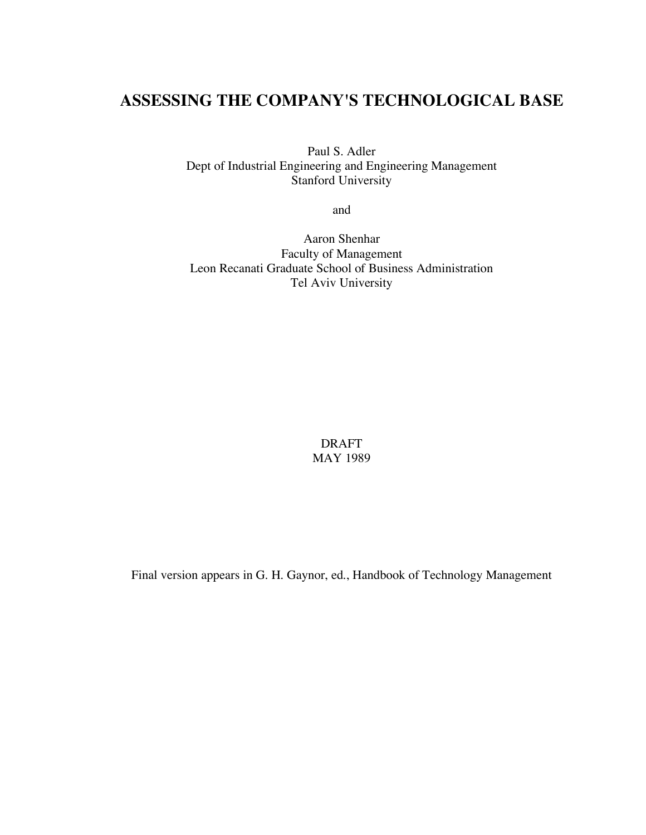# **ASSESSING THE COMPANY'S TECHNOLOGICAL BASE**

Paul S. Adler Dept of Industrial Engineering and Engineering Management Stanford University

and

Aaron Shenhar Faculty of Management Leon Recanati Graduate School of Business Administration Tel Aviv University

> DRAFT MAY 1989

Final version appears in G. H. Gaynor, ed., Handbook of Technology Management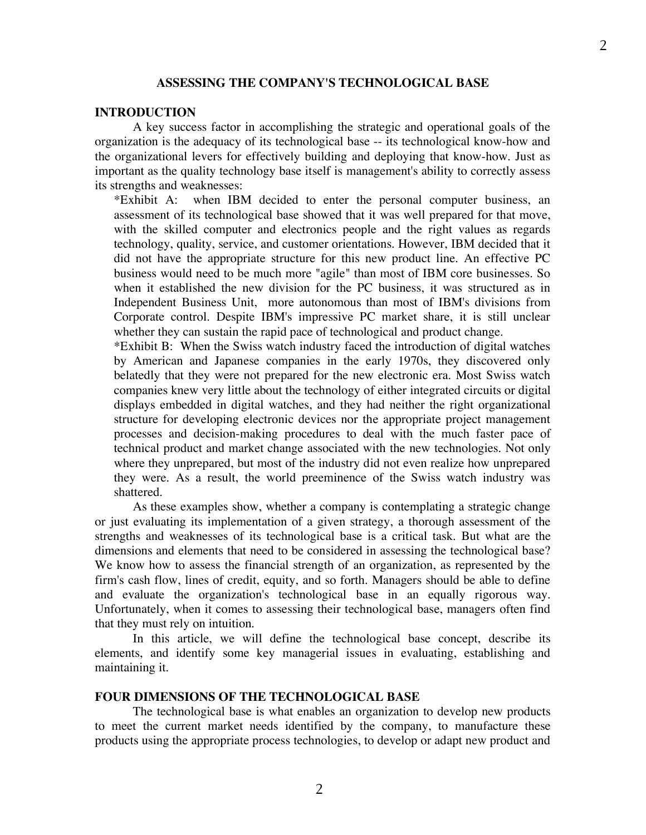#### **ASSESSING THE COMPANY'S TECHNOLOGICAL BASE**

#### **INTRODUCTION**

A key success factor in accomplishing the strategic and operational goals of the organization is the adequacy of its technological base -- its technological know-how and the organizational levers for effectively building and deploying that know-how. Just as important as the quality technology base itself is management's ability to correctly assess its strengths and weaknesses:

\*Exhibit A: when IBM decided to enter the personal computer business, an assessment of its technological base showed that it was well prepared for that move, with the skilled computer and electronics people and the right values as regards technology, quality, service, and customer orientations. However, IBM decided that it did not have the appropriate structure for this new product line. An effective PC business would need to be much more "agile" than most of IBM core businesses. So when it established the new division for the PC business, it was structured as in Independent Business Unit, more autonomous than most of IBM's divisions from Corporate control. Despite IBM's impressive PC market share, it is still unclear whether they can sustain the rapid pace of technological and product change.

\*Exhibit B: When the Swiss watch industry faced the introduction of digital watches by American and Japanese companies in the early 1970s, they discovered only belatedly that they were not prepared for the new electronic era. Most Swiss watch companies knew very little about the technology of either integrated circuits or digital displays embedded in digital watches, and they had neither the right organizational structure for developing electronic devices nor the appropriate project management processes and decision-making procedures to deal with the much faster pace of technical product and market change associated with the new technologies. Not only where they unprepared, but most of the industry did not even realize how unprepared they were. As a result, the world preeminence of the Swiss watch industry was shattered.

As these examples show, whether a company is contemplating a strategic change or just evaluating its implementation of a given strategy, a thorough assessment of the strengths and weaknesses of its technological base is a critical task. But what are the dimensions and elements that need to be considered in assessing the technological base? We know how to assess the financial strength of an organization, as represented by the firm's cash flow, lines of credit, equity, and so forth. Managers should be able to define and evaluate the organization's technological base in an equally rigorous way. Unfortunately, when it comes to assessing their technological base, managers often find that they must rely on intuition.

In this article, we will define the technological base concept, describe its elements, and identify some key managerial issues in evaluating, establishing and maintaining it.

#### **FOUR DIMENSIONS OF THE TECHNOLOGICAL BASE**

The technological base is what enables an organization to develop new products to meet the current market needs identified by the company, to manufacture these products using the appropriate process technologies, to develop or adapt new product and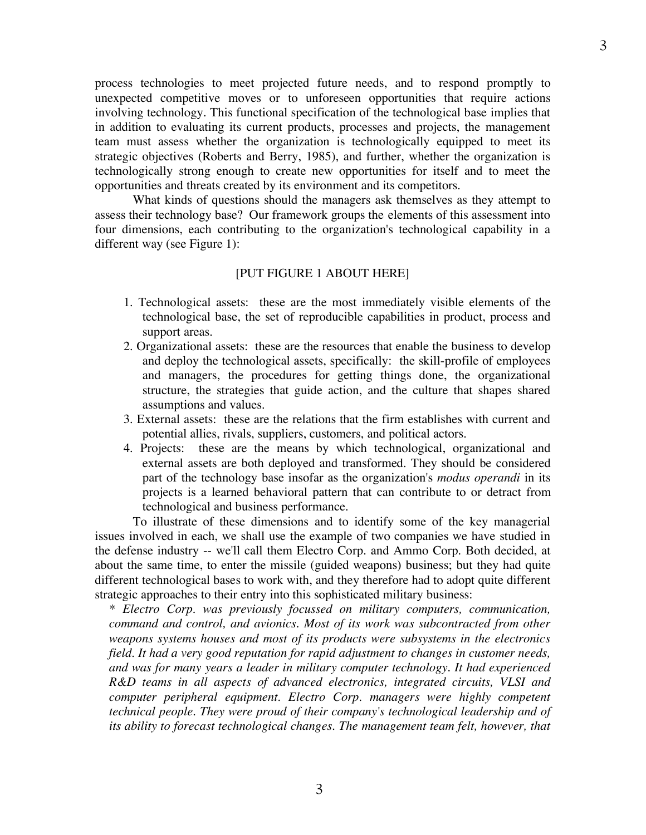process technologies to meet projected future needs, and to respond promptly to unexpected competitive moves or to unforeseen opportunities that require actions involving technology. This functional specification of the technological base implies that in addition to evaluating its current products, processes and projects, the management team must assess whether the organization is technologically equipped to meet its strategic objectives (Roberts and Berry, 1985), and further, whether the organization is technologically strong enough to create new opportunities for itself and to meet the opportunities and threats created by its environment and its competitors.

What kinds of questions should the managers ask themselves as they attempt to assess their technology base? Our framework groups the elements of this assessment into four dimensions, each contributing to the organization's technological capability in a different way (see Figure 1):

#### [PUT FIGURE 1 ABOUT HERE]

- 1. Technological assets: these are the most immediately visible elements of the technological base, the set of reproducible capabilities in product, process and support areas.
- 2. Organizational assets: these are the resources that enable the business to develop and deploy the technological assets, specifically: the skill-profile of employees and managers, the procedures for getting things done, the organizational structure, the strategies that guide action, and the culture that shapes shared assumptions and values.
- 3. External assets: these are the relations that the firm establishes with current and potential allies, rivals, suppliers, customers, and political actors.
- 4. Projects: these are the means by which technological, organizational and external assets are both deployed and transformed. They should be considered part of the technology base insofar as the organization's *modus operandi* in its projects is a learned behavioral pattern that can contribute to or detract from technological and business performance.

To illustrate of these dimensions and to identify some of the key managerial issues involved in each, we shall use the example of two companies we have studied in the defense industry -- we'll call them Electro Corp. and Ammo Corp. Both decided, at about the same time, to enter the missile (guided weapons) business; but they had quite different technological bases to work with, and they therefore had to adopt quite different strategic approaches to their entry into this sophisticated military business:

*\* Electro Corp. was previously focussed on military computers, communication, command and control, and avionics. Most of its work was subcontracted from other weapons systems houses and most of its products were subsystems in the electronics field. It had a very good reputation for rapid adjustment to changes in customer needs, and was for many years a leader in military computer technology. It had experienced R&D teams in all aspects of advanced electronics, integrated circuits, VLSI and computer peripheral equipment. Electro Corp. managers were highly competent technical people. They were proud of their company's technological leadership and of its ability to forecast technological changes. The management team felt, however, that*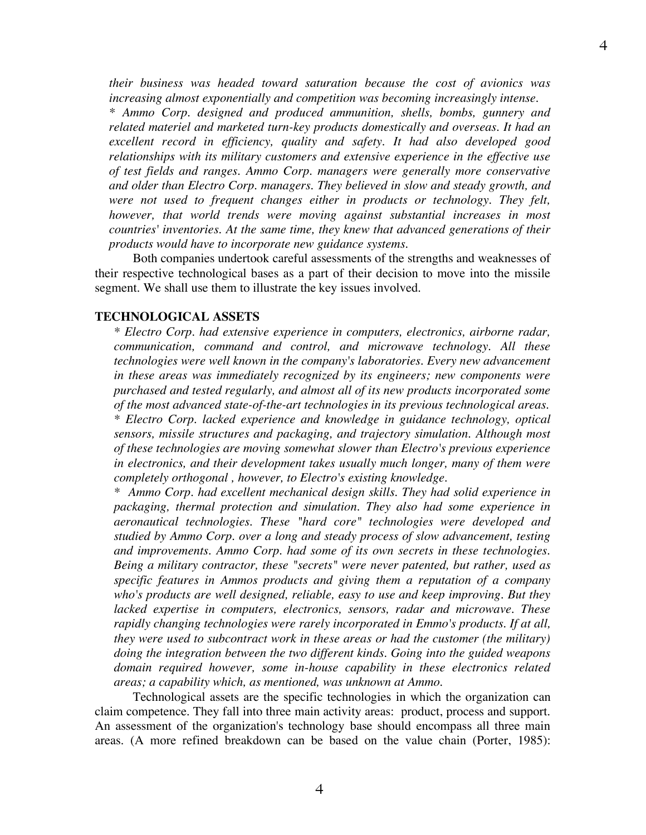*their business was headed toward saturation because the cost of avionics was*

*increasing almost exponentially and competition was becoming increasingly intense. \* Ammo Corp. designed and produced ammunition, shells, bombs, gunnery and related materiel and marketed turn-key products domestically and overseas. It had an excellent record in efficiency, quality and safety. It had also developed good relationships with its military customers and extensive experience in the effective use of test fields and ranges. Ammo Corp. managers were generally more conservative and older than Electro Corp. managers. They believed in slow and steady growth, and were not used to frequent changes either in products or technology. They felt, however, that world trends were moving against substantial increases in most countries' inventories. At the same time, they knew that advanced generations of their products would have to incorporate new guidance systems.*

Both companies undertook careful assessments of the strengths and weaknesses of their respective technological bases as a part of their decision to move into the missile segment. We shall use them to illustrate the key issues involved.

#### **TECHNOLOGICAL ASSETS**

*\* Electro Corp. had extensive experience in computers, electronics, airborne radar, communication, command and control, and microwave technology. All these technologies were well known in the company's laboratories. Every new advancement in these areas was immediately recognized by its engineers; new components were purchased and tested regularly, and almost all of its new products incorporated some of the most advanced state-of-the-art technologies in its previous technological areas. \* Electro Corp. lacked experience and knowledge in guidance technology, optical sensors, missile structures and packaging, and trajectory simulation. Although most of these technologies are moving somewhat slower than Electro's previous experience in electronics, and their development takes usually much longer, many of them were completely orthogonal , however, to Electro's existing knowledge.*

*\* Ammo Corp. had excellent mechanical design skills. They had solid experience in packaging, thermal protection and simulation. They also had some experience in aeronautical technologies. These "hard core" technologies were developed and studied by Ammo Corp. over a long and steady process of slow advancement, testing and improvements. Ammo Corp. had some of its own secrets in these technologies. Being a military contractor, these "secrets" were never patented, but rather, used as specific features in Ammos products and giving them a reputation of a company who's products are well designed, reliable, easy to use and keep improving. But they lacked expertise in computers, electronics, sensors, radar and microwave. These rapidly changing technologies were rarely incorporated in Emmo's products. If at all, they were used to subcontract work in these areas or had the customer (the military) doing the integration between the two different kinds. Going into the guided weapons domain required however, some in-house capability in these electronics related areas; a capability which, as mentioned, was unknown at Ammo.*

Technological assets are the specific technologies in which the organization can claim competence. They fall into three main activity areas: product, process and support. An assessment of the organization's technology base should encompass all three main areas. (A more refined breakdown can be based on the value chain (Porter, 1985):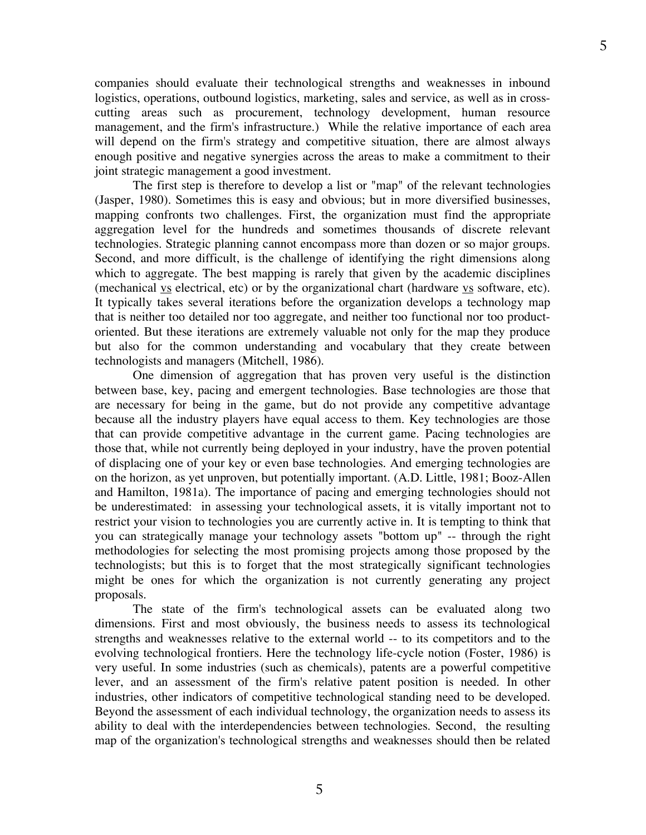companies should evaluate their technological strengths and weaknesses in inbound logistics, operations, outbound logistics, marketing, sales and service, as well as in crosscutting areas such as procurement, technology development, human resource management, and the firm's infrastructure.) While the relative importance of each area will depend on the firm's strategy and competitive situation, there are almost always enough positive and negative synergies across the areas to make a commitment to their joint strategic management a good investment.

The first step is therefore to develop a list or "map" of the relevant technologies (Jasper, 1980). Sometimes this is easy and obvious; but in more diversified businesses, mapping confronts two challenges. First, the organization must find the appropriate aggregation level for the hundreds and sometimes thousands of discrete relevant technologies. Strategic planning cannot encompass more than dozen or so major groups. Second, and more difficult, is the challenge of identifying the right dimensions along which to aggregate. The best mapping is rarely that given by the academic disciplines (mechanical  $\underline{v}$  electrical, etc) or by the organizational chart (hardware  $\underline{v}$  software, etc). It typically takes several iterations before the organization develops a technology map that is neither too detailed nor too aggregate, and neither too functional nor too productoriented. But these iterations are extremely valuable not only for the map they produce but also for the common understanding and vocabulary that they create between technologists and managers (Mitchell, 1986).

One dimension of aggregation that has proven very useful is the distinction between base, key, pacing and emergent technologies. Base technologies are those that are necessary for being in the game, but do not provide any competitive advantage because all the industry players have equal access to them. Key technologies are those that can provide competitive advantage in the current game. Pacing technologies are those that, while not currently being deployed in your industry, have the proven potential of displacing one of your key or even base technologies. And emerging technologies are on the horizon, as yet unproven, but potentially important. (A.D. Little, 1981; Booz-Allen and Hamilton, 1981a). The importance of pacing and emerging technologies should not be underestimated: in assessing your technological assets, it is vitally important not to restrict your vision to technologies you are currently active in. It is tempting to think that you can strategically manage your technology assets "bottom up" -- through the right methodologies for selecting the most promising projects among those proposed by the technologists; but this is to forget that the most strategically significant technologies might be ones for which the organization is not currently generating any project proposals.

The state of the firm's technological assets can be evaluated along two dimensions. First and most obviously, the business needs to assess its technological strengths and weaknesses relative to the external world -- to its competitors and to the evolving technological frontiers. Here the technology life-cycle notion (Foster, 1986) is very useful. In some industries (such as chemicals), patents are a powerful competitive lever, and an assessment of the firm's relative patent position is needed. In other industries, other indicators of competitive technological standing need to be developed. Beyond the assessment of each individual technology, the organization needs to assess its ability to deal with the interdependencies between technologies. Second, the resulting map of the organization's technological strengths and weaknesses should then be related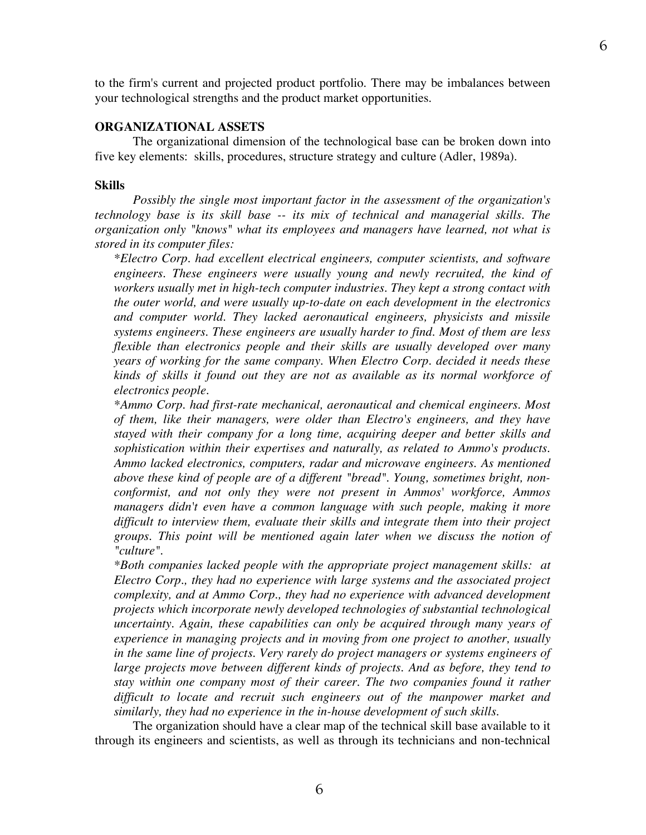to the firm's current and projected product portfolio. There may be imbalances between your technological strengths and the product market opportunities.

#### **ORGANIZATIONAL ASSETS**

The organizational dimension of the technological base can be broken down into five key elements: skills, procedures, structure strategy and culture (Adler, 1989a).

#### **Skills**

*Possibly the single most important factor in the assessment of the organization's technology base is its skill base -- its mix of technical and managerial skills. The organization only "knows" what its employees and managers have learned, not what is stored in its computer files:*

*\*Electro Corp. had excellent electrical engineers, computer scientists, and software engineers. These engineers were usually young and newly recruited, the kind of workers usually met in high-tech computer industries. They kept a strong contact with the outer world, and were usually up-to-date on each development in the electronics and computer world. They lacked aeronautical engineers, physicists and missile systems engineers. These engineers are usually harder to find. Most of them are less flexible than electronics people and their skills are usually developed over many years of working for the same company. When Electro Corp. decided it needs these kinds of skills it found out they are not as available as its normal workforce of electronics people.*

*\*Ammo Corp. had first-rate mechanical, aeronautical and chemical engineers. Most of them, like their managers, were older than Electro's engineers, and they have stayed with their company for a long time, acquiring deeper and better skills and sophistication within their expertises and naturally, as related to Ammo's products. Ammo lacked electronics, computers, radar and microwave engineers. As mentioned above these kind of people are of a different "bread". Young, sometimes bright, nonconformist, and not only they were not present in Ammos' workforce, Ammos managers didn't even have a common language with such people, making it more difficult to interview them, evaluate their skills and integrate them into their project groups. This point will be mentioned again later when we discuss the notion of "culture".*

*\*Both companies lacked people with the appropriate project management skills: at Electro Corp., they had no experience with large systems and the associated project complexity, and at Ammo Corp., they had no experience with advanced development projects which incorporate newly developed technologies of substantial technological uncertainty. Again, these capabilities can only be acquired through many years of experience in managing projects and in moving from one project to another, usually in the same line of projects. Very rarely do project managers or systems engineers of large projects move between different kinds of projects. And as before, they tend to stay within one company most of their career. The two companies found it rather difficult to locate and recruit such engineers out of the manpower market and similarly, they had no experience in the in-house development of such skills.*

The organization should have a clear map of the technical skill base available to it through its engineers and scientists, as well as through its technicians and non-technical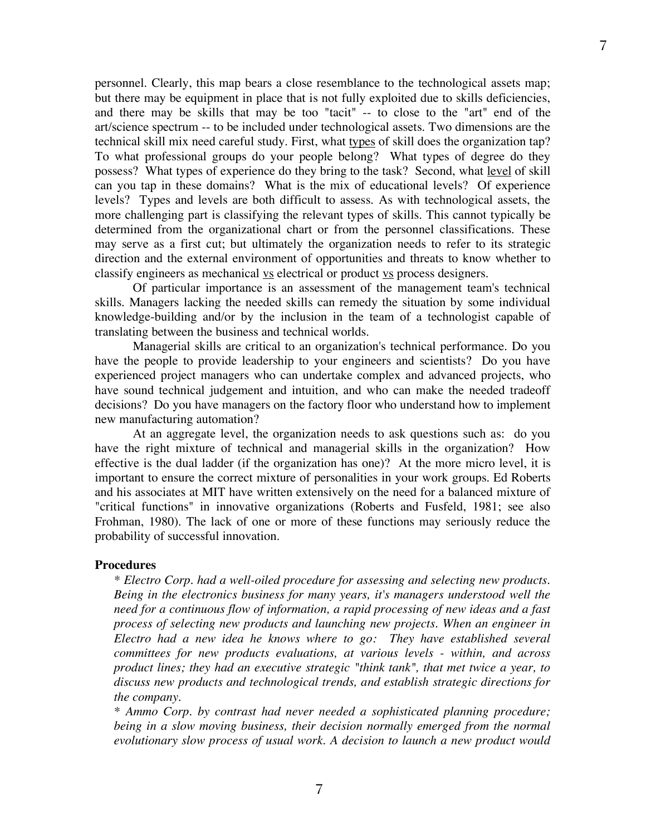personnel. Clearly, this map bears a close resemblance to the technological assets map; but there may be equipment in place that is not fully exploited due to skills deficiencies, and there may be skills that may be too "tacit" -- to close to the "art" end of the art/science spectrum -- to be included under technological assets. Two dimensions are the technical skill mix need careful study. First, what types of skill does the organization tap? To what professional groups do your people belong? What types of degree do they possess? What types of experience do they bring to the task? Second, what level of skill can you tap in these domains? What is the mix of educational levels? Of experience levels? Types and levels are both difficult to assess. As with technological assets, the more challenging part is classifying the relevant types of skills. This cannot typically be determined from the organizational chart or from the personnel classifications. These may serve as a first cut; but ultimately the organization needs to refer to its strategic direction and the external environment of opportunities and threats to know whether to classify engineers as mechanical vs electrical or product vs process designers.

Of particular importance is an assessment of the management team's technical skills. Managers lacking the needed skills can remedy the situation by some individual knowledge-building and/or by the inclusion in the team of a technologist capable of translating between the business and technical worlds.

Managerial skills are critical to an organization's technical performance. Do you have the people to provide leadership to your engineers and scientists? Do you have experienced project managers who can undertake complex and advanced projects, who have sound technical judgement and intuition, and who can make the needed tradeoff decisions? Do you have managers on the factory floor who understand how to implement new manufacturing automation?

At an aggregate level, the organization needs to ask questions such as: do you have the right mixture of technical and managerial skills in the organization? How effective is the dual ladder (if the organization has one)? At the more micro level, it is important to ensure the correct mixture of personalities in your work groups. Ed Roberts and his associates at MIT have written extensively on the need for a balanced mixture of "critical functions" in innovative organizations (Roberts and Fusfeld, 1981; see also Frohman, 1980). The lack of one or more of these functions may seriously reduce the probability of successful innovation.

#### **Procedures**

*\* Electro Corp. had a well-oiled procedure for assessing and selecting new products. Being in the electronics business for many years, it's managers understood well the need for a continuous flow of information, a rapid processing of new ideas and a fast process of selecting new products and launching new projects. When an engineer in Electro had a new idea he knows where to go: They have established several committees for new products evaluations, at various levels - within, and across product lines; they had an executive strategic "think tank", that met twice a year, to discuss new products and technological trends, and establish strategic directions for the company.*

*\* Ammo Corp. by contrast had never needed a sophisticated planning procedure; being in a slow moving business, their decision normally emerged from the normal evolutionary slow process of usual work. A decision to launch a new product would*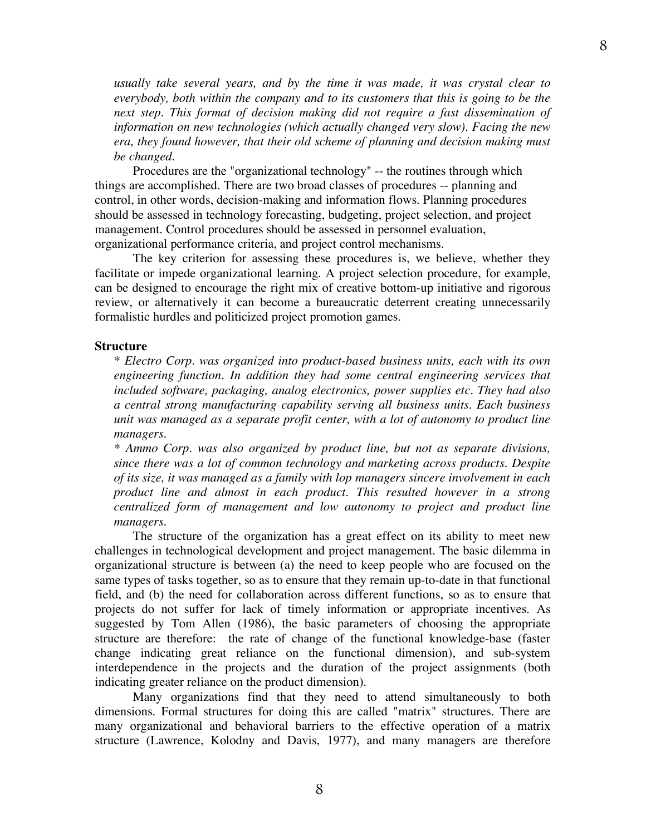*usually take several years, and by the time it was made, it was crystal clear to everybody, both within the company and to its customers that this is going to be the next step. This format of decision making did not require a fast dissemination of information on new technologies (which actually changed very slow). Facing the new era, they found however, that their old scheme of planning and decision making must be changed.*

Procedures are the "organizational technology" -- the routines through which things are accomplished. There are two broad classes of procedures -- planning and control, in other words, decision-making and information flows. Planning procedures should be assessed in technology forecasting, budgeting, project selection, and project management. Control procedures should be assessed in personnel evaluation, organizational performance criteria, and project control mechanisms.

The key criterion for assessing these procedures is, we believe, whether they facilitate or impede organizational learning. A project selection procedure, for example, can be designed to encourage the right mix of creative bottom-up initiative and rigorous review, or alternatively it can become a bureaucratic deterrent creating unnecessarily formalistic hurdles and politicized project promotion games.

#### **Structure**

*\* Electro Corp. was organized into product-based business units, each with its own engineering function. In addition they had some central engineering services that included software, packaging, analog electronics, power supplies etc. They had also a central strong manufacturing capability serving all business units. Each business unit was managed as a separate profit center, with a lot of autonomy to product line managers.*

*\* Ammo Corp. was also organized by product line, but not as separate divisions, since there was a lot of common technology and marketing across products. Despite of its size, it was managed as a family with lop managers sincere involvement in each product line and almost in each product. This resulted however in a strong centralized form of management and low autonomy to project and product line managers.*

The structure of the organization has a great effect on its ability to meet new challenges in technological development and project management. The basic dilemma in organizational structure is between (a) the need to keep people who are focused on the same types of tasks together, so as to ensure that they remain up-to-date in that functional field, and (b) the need for collaboration across different functions, so as to ensure that projects do not suffer for lack of timely information or appropriate incentives. As suggested by Tom Allen (1986), the basic parameters of choosing the appropriate structure are therefore: the rate of change of the functional knowledge-base (faster change indicating great reliance on the functional dimension), and sub-system interdependence in the projects and the duration of the project assignments (both indicating greater reliance on the product dimension).

Many organizations find that they need to attend simultaneously to both dimensions. Formal structures for doing this are called "matrix" structures. There are many organizational and behavioral barriers to the effective operation of a matrix structure (Lawrence, Kolodny and Davis, 1977), and many managers are therefore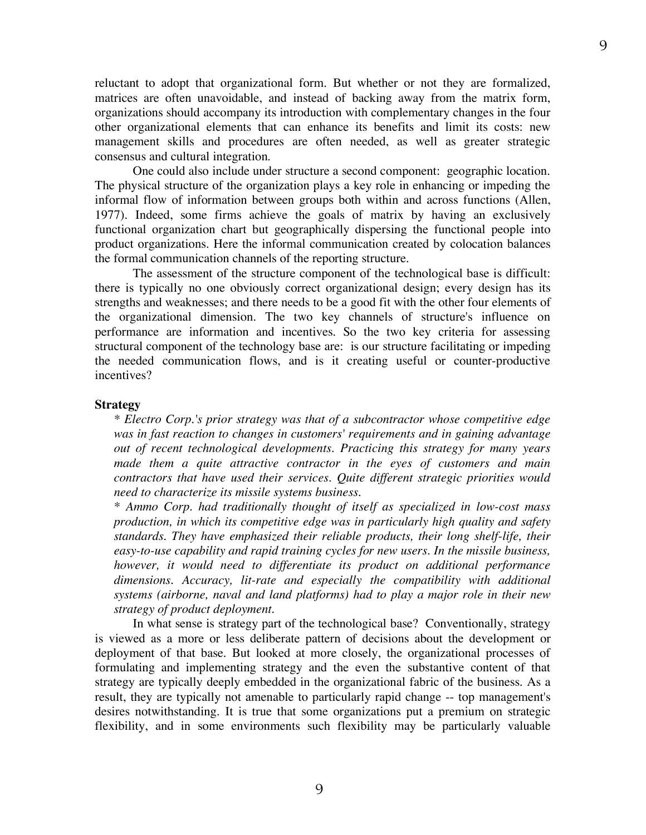reluctant to adopt that organizational form. But whether or not they are formalized, matrices are often unavoidable, and instead of backing away from the matrix form, organizations should accompany its introduction with complementary changes in the four other organizational elements that can enhance its benefits and limit its costs: new management skills and procedures are often needed, as well as greater strategic consensus and cultural integration.

One could also include under structure a second component: geographic location. The physical structure of the organization plays a key role in enhancing or impeding the informal flow of information between groups both within and across functions (Allen, 1977). Indeed, some firms achieve the goals of matrix by having an exclusively functional organization chart but geographically dispersing the functional people into product organizations. Here the informal communication created by colocation balances the formal communication channels of the reporting structure.

The assessment of the structure component of the technological base is difficult: there is typically no one obviously correct organizational design; every design has its strengths and weaknesses; and there needs to be a good fit with the other four elements of the organizational dimension. The two key channels of structure's influence on performance are information and incentives. So the two key criteria for assessing structural component of the technology base are: is our structure facilitating or impeding the needed communication flows, and is it creating useful or counter-productive incentives?

#### **Strategy**

*\* Electro Corp.'s prior strategy was that of a subcontractor whose competitive edge was in fast reaction to changes in customers' requirements and in gaining advantage out of recent technological developments. Practicing this strategy for many years made them a quite attractive contractor in the eyes of customers and main contractors that have used their services. Quite different strategic priorities would need to characterize its missile systems business.*

*\* Ammo Corp. had traditionally thought of itself as specialized in low-cost mass production, in which its competitive edge was in particularly high quality and safety standards. They have emphasized their reliable products, their long shelf-life, their easy-to-use capability and rapid training cycles for new users. In the missile business, however, it would need to differentiate its product on additional performance dimensions. Accuracy, lit-rate and especially the compatibility with additional systems (airborne, naval and land platforms) had to play a major role in their new strategy of product deployment.*

In what sense is strategy part of the technological base? Conventionally, strategy is viewed as a more or less deliberate pattern of decisions about the development or deployment of that base. But looked at more closely, the organizational processes of formulating and implementing strategy and the even the substantive content of that strategy are typically deeply embedded in the organizational fabric of the business. As a result, they are typically not amenable to particularly rapid change -- top management's desires notwithstanding. It is true that some organizations put a premium on strategic flexibility, and in some environments such flexibility may be particularly valuable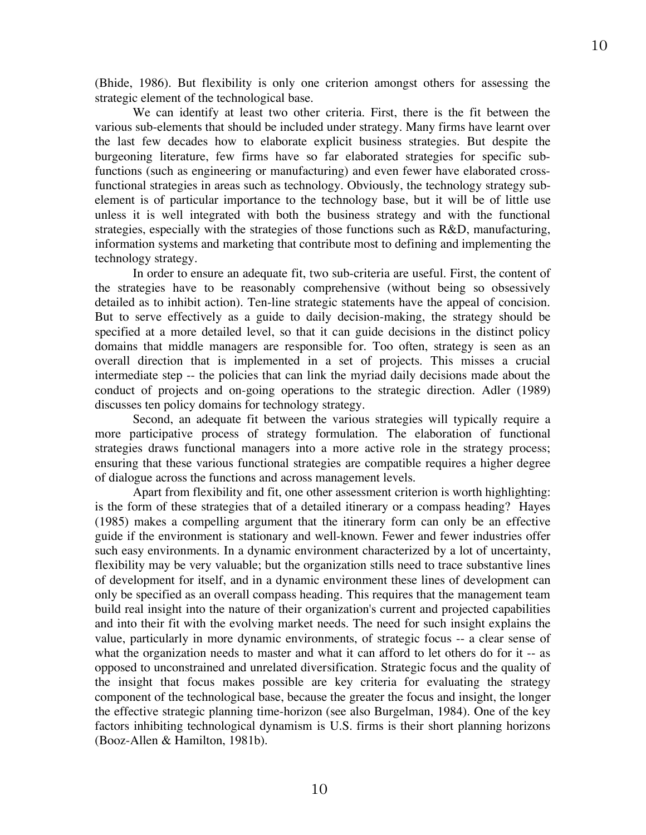(Bhide, 1986). But flexibility is only one criterion amongst others for assessing the strategic element of the technological base.

We can identify at least two other criteria. First, there is the fit between the various sub-elements that should be included under strategy. Many firms have learnt over the last few decades how to elaborate explicit business strategies. But despite the burgeoning literature, few firms have so far elaborated strategies for specific subfunctions (such as engineering or manufacturing) and even fewer have elaborated crossfunctional strategies in areas such as technology. Obviously, the technology strategy subelement is of particular importance to the technology base, but it will be of little use unless it is well integrated with both the business strategy and with the functional strategies, especially with the strategies of those functions such as R&D, manufacturing, information systems and marketing that contribute most to defining and implementing the technology strategy.

In order to ensure an adequate fit, two sub-criteria are useful. First, the content of the strategies have to be reasonably comprehensive (without being so obsessively detailed as to inhibit action). Ten-line strategic statements have the appeal of concision. But to serve effectively as a guide to daily decision-making, the strategy should be specified at a more detailed level, so that it can guide decisions in the distinct policy domains that middle managers are responsible for. Too often, strategy is seen as an overall direction that is implemented in a set of projects. This misses a crucial intermediate step -- the policies that can link the myriad daily decisions made about the conduct of projects and on-going operations to the strategic direction. Adler (1989) discusses ten policy domains for technology strategy.

Second, an adequate fit between the various strategies will typically require a more participative process of strategy formulation. The elaboration of functional strategies draws functional managers into a more active role in the strategy process; ensuring that these various functional strategies are compatible requires a higher degree of dialogue across the functions and across management levels.

Apart from flexibility and fit, one other assessment criterion is worth highlighting: is the form of these strategies that of a detailed itinerary or a compass heading? Hayes (1985) makes a compelling argument that the itinerary form can only be an effective guide if the environment is stationary and well-known. Fewer and fewer industries offer such easy environments. In a dynamic environment characterized by a lot of uncertainty, flexibility may be very valuable; but the organization stills need to trace substantive lines of development for itself, and in a dynamic environment these lines of development can only be specified as an overall compass heading. This requires that the management team build real insight into the nature of their organization's current and projected capabilities and into their fit with the evolving market needs. The need for such insight explains the value, particularly in more dynamic environments, of strategic focus -- a clear sense of what the organization needs to master and what it can afford to let others do for it -- as opposed to unconstrained and unrelated diversification. Strategic focus and the quality of the insight that focus makes possible are key criteria for evaluating the strategy component of the technological base, because the greater the focus and insight, the longer the effective strategic planning time-horizon (see also Burgelman, 1984). One of the key factors inhibiting technological dynamism is U.S. firms is their short planning horizons (Booz-Allen & Hamilton, 1981b).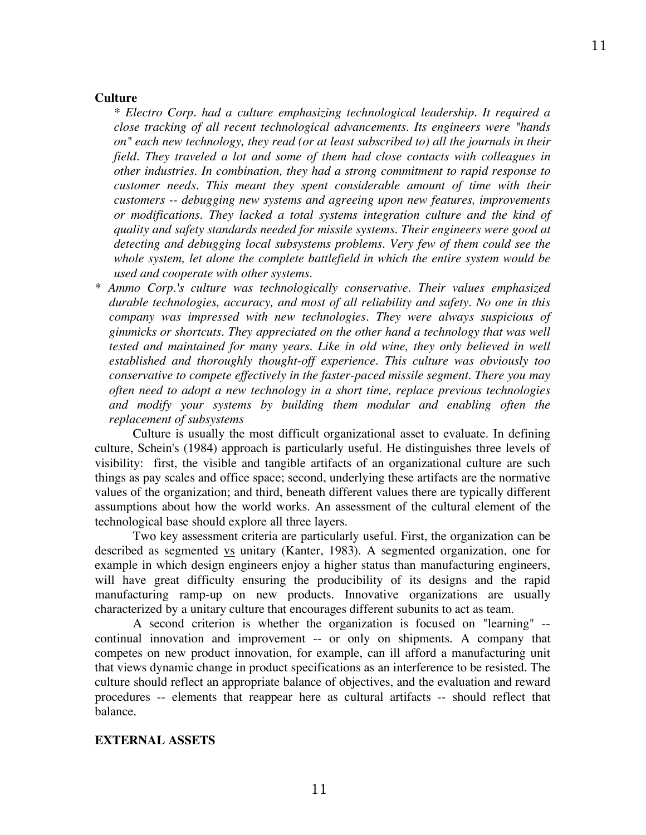#### **Culture**

*\* Electro Corp. had a culture emphasizing technological leadership. It required a close tracking of all recent technological advancements. Its engineers were "hands on" each new technology, they read (or at least subscribed to) all the journals in their field. They traveled a lot and some of them had close contacts with colleagues in other industries. In combination, they had a strong commitment to rapid response to customer needs. This meant they spent considerable amount of time with their customers -- debugging new systems and agreeing upon new features, improvements or modifications. They lacked a total systems integration culture and the kind of quality and safety standards needed for missile systems. Their engineers were good at detecting and debugging local subsystems problems. Very few of them could see the whole system, let alone the complete battlefield in which the entire system would be used and cooperate with other systems.*

*\* Ammo Corp.'s culture was technologically conservative. Their values emphasized durable technologies, accuracy, and most of all reliability and safety. No one in this company was impressed with new technologies. They were always suspicious of gimmicks or shortcuts. They appreciated on the other hand a technology that was well tested and maintained for many years. Like in old wine, they only believed in well established and thoroughly thought-off experience. This culture was obviously too conservative to compete effectively in the faster-paced missile segment. There you may often need to adopt a new technology in a short time, replace previous technologies and modify your systems by building them modular and enabling often the replacement of subsystems*

Culture is usually the most difficult organizational asset to evaluate. In defining culture, Schein's (1984) approach is particularly useful. He distinguishes three levels of visibility: first, the visible and tangible artifacts of an organizational culture are such things as pay scales and office space; second, underlying these artifacts are the normative values of the organization; and third, beneath different values there are typically different assumptions about how the world works. An assessment of the cultural element of the technological base should explore all three layers.

Two key assessment criteria are particularly useful. First, the organization can be described as segmented vs unitary (Kanter, 1983). A segmented organization, one for example in which design engineers enjoy a higher status than manufacturing engineers, will have great difficulty ensuring the producibility of its designs and the rapid manufacturing ramp-up on new products. Innovative organizations are usually characterized by a unitary culture that encourages different subunits to act as team.

A second criterion is whether the organization is focused on "learning" - continual innovation and improvement -- or only on shipments. A company that competes on new product innovation, for example, can ill afford a manufacturing unit that views dynamic change in product specifications as an interference to be resisted. The culture should reflect an appropriate balance of objectives, and the evaluation and reward procedures -- elements that reappear here as cultural artifacts -- should reflect that balance.

#### **EXTERNAL ASSETS**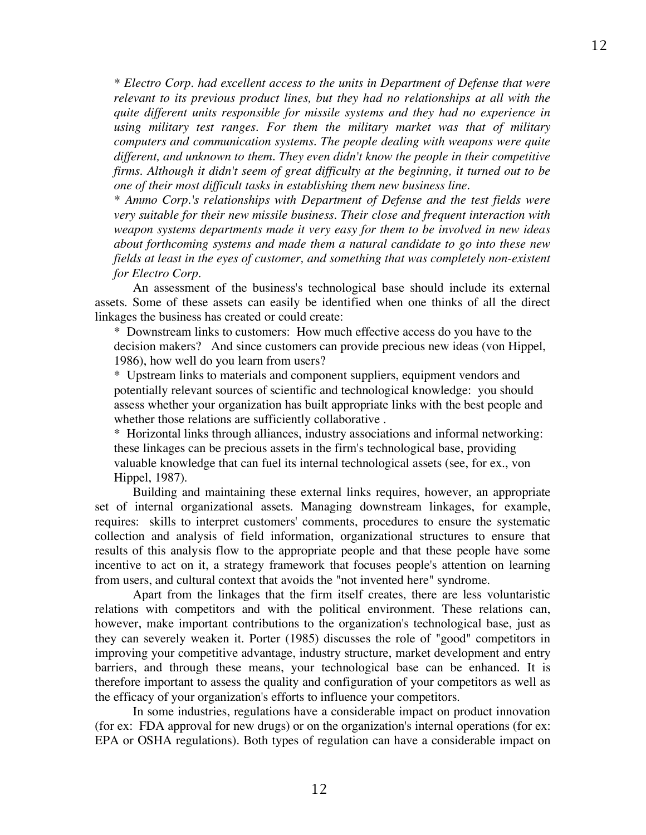*\* Electro Corp. had excellent access to the units in Department of Defense that were relevant to its previous product lines, but they had no relationships at all with the quite different units responsible for missile systems and they had no experience in using military test ranges. For them the military market was that of military computers and communication systems. The people dealing with weapons were quite different, and unknown to them. They even didn't know the people in their competitive firms. Although it didn't seem of great difficulty at the beginning, it turned out to be one of their most difficult tasks in establishing them new business line.*

*\* Ammo Corp.'s relationships with Department of Defense and the test fields were very suitable for their new missile business. Their close and frequent interaction with weapon systems departments made it very easy for them to be involved in new ideas about forthcoming systems and made them a natural candidate to go into these new fields at least in the eyes of customer, and something that was completely non-existent for Electro Corp.*

An assessment of the business's technological base should include its external assets. Some of these assets can easily be identified when one thinks of all the direct linkages the business has created or could create:

\* Downstream links to customers: How much effective access do you have to the decision makers? And since customers can provide precious new ideas (von Hippel, 1986), how well do you learn from users?

\* Upstream links to materials and component suppliers, equipment vendors and potentially relevant sources of scientific and technological knowledge: you should assess whether your organization has built appropriate links with the best people and whether those relations are sufficiently collaborative .

\* Horizontal links through alliances, industry associations and informal networking: these linkages can be precious assets in the firm's technological base, providing valuable knowledge that can fuel its internal technological assets (see, for ex., von Hippel, 1987).

Building and maintaining these external links requires, however, an appropriate set of internal organizational assets. Managing downstream linkages, for example, requires: skills to interpret customers' comments, procedures to ensure the systematic collection and analysis of field information, organizational structures to ensure that results of this analysis flow to the appropriate people and that these people have some incentive to act on it, a strategy framework that focuses people's attention on learning from users, and cultural context that avoids the "not invented here" syndrome.

Apart from the linkages that the firm itself creates, there are less voluntaristic relations with competitors and with the political environment. These relations can, however, make important contributions to the organization's technological base, just as they can severely weaken it. Porter (1985) discusses the role of "good" competitors in improving your competitive advantage, industry structure, market development and entry barriers, and through these means, your technological base can be enhanced. It is therefore important to assess the quality and configuration of your competitors as well as the efficacy of your organization's efforts to influence your competitors.

In some industries, regulations have a considerable impact on product innovation (for ex: FDA approval for new drugs) or on the organization's internal operations (for ex: EPA or OSHA regulations). Both types of regulation can have a considerable impact on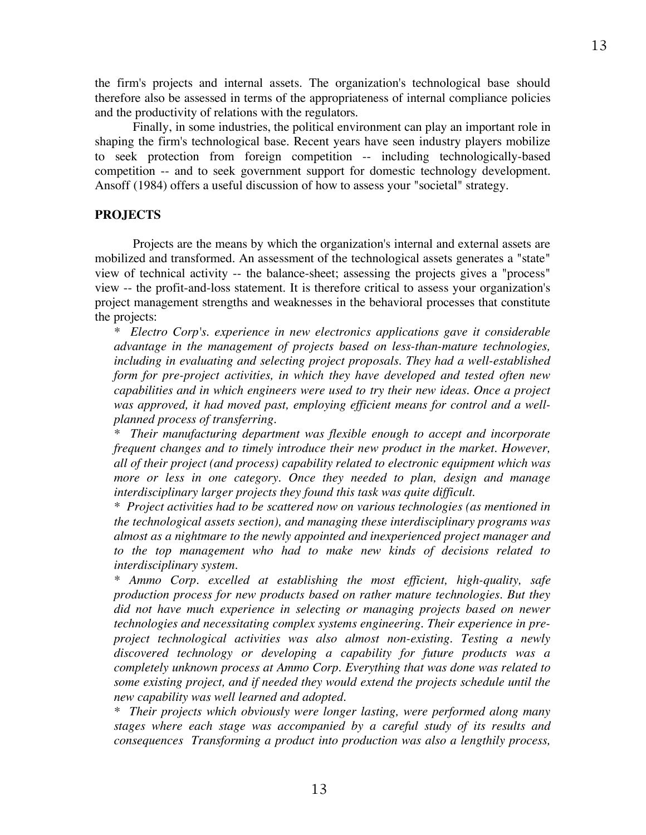the firm's projects and internal assets. The organization's technological base should therefore also be assessed in terms of the appropriateness of internal compliance policies and the productivity of relations with the regulators.

Finally, in some industries, the political environment can play an important role in shaping the firm's technological base. Recent years have seen industry players mobilize to seek protection from foreign competition -- including technologically-based competition -- and to seek government support for domestic technology development. Ansoff (1984) offers a useful discussion of how to assess your "societal" strategy.

### **PROJECTS**

Projects are the means by which the organization's internal and external assets are mobilized and transformed. An assessment of the technological assets generates a "state" view of technical activity -- the balance-sheet; assessing the projects gives a "process" view -- the profit-and-loss statement. It is therefore critical to assess your organization's project management strengths and weaknesses in the behavioral processes that constitute the projects:

*\* Electro Corp's. experience in new electronics applications gave it considerable advantage in the management of projects based on less-than-mature technologies, including in evaluating and selecting project proposals. They had a well-established form for pre-project activities, in which they have developed and tested often new capabilities and in which engineers were used to try their new ideas. Once a project was approved, it had moved past, employing efficient means for control and a wellplanned process of transferring.*

*\* Their manufacturing department was flexible enough to accept and incorporate frequent changes and to timely introduce their new product in the market. However, all of their project (and process) capability related to electronic equipment which was more or less in one category. Once they needed to plan, design and manage interdisciplinary larger projects they found this task was quite difficult.*

*\* Project activities had to be scattered now on various technologies (as mentioned in the technological assets section), and managing these interdisciplinary programs was almost as a nightmare to the newly appointed and inexperienced project manager and to the top management who had to make new kinds of decisions related to interdisciplinary system.*

*\* Ammo Corp. excelled at establishing the most efficient, high-quality, safe production process for new products based on rather mature technologies. But they did not have much experience in selecting or managing projects based on newer technologies and necessitating complex systems engineering. Their experience in preproject technological activities was also almost non-existing. Testing a newly discovered technology or developing a capability for future products was a completely unknown process at Ammo Corp. Everything that was done was related to some existing project, and if needed they would extend the projects schedule until the new capability was well learned and adopted.*

*\* Their projects which obviously were longer lasting, were performed along many stages where each stage was accompanied by a careful study of its results and consequences Transforming a product into production was also a lengthily process,*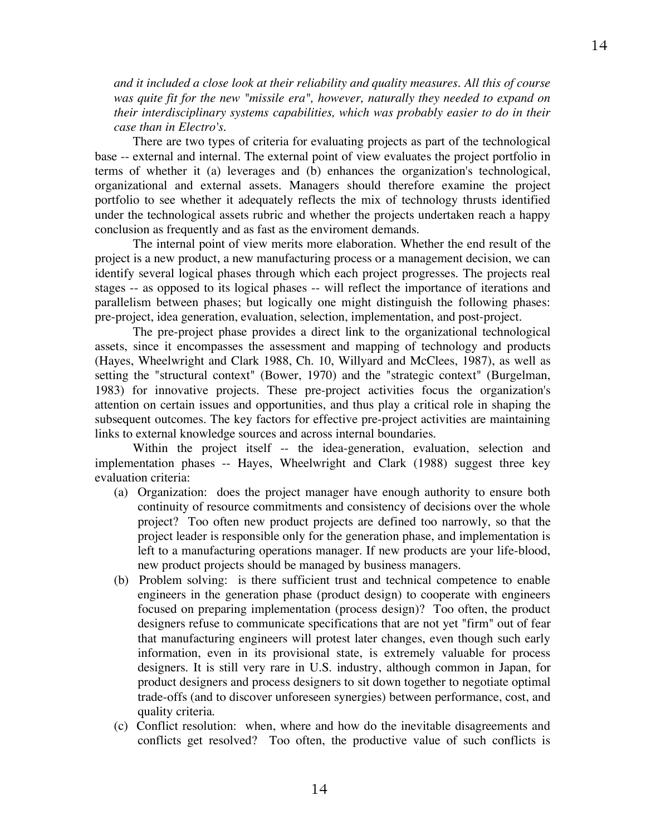*and it included a close look at their reliability and quality measures. All this of course was quite fit for the new "missile era", however, naturally they needed to expand on their interdisciplinary systems capabilities, which was probably easier to do in their case than in Electro's.*

There are two types of criteria for evaluating projects as part of the technological base -- external and internal. The external point of view evaluates the project portfolio in terms of whether it (a) leverages and (b) enhances the organization's technological, organizational and external assets. Managers should therefore examine the project portfolio to see whether it adequately reflects the mix of technology thrusts identified under the technological assets rubric and whether the projects undertaken reach a happy conclusion as frequently and as fast as the enviroment demands.

The internal point of view merits more elaboration. Whether the end result of the project is a new product, a new manufacturing process or a management decision, we can identify several logical phases through which each project progresses. The projects real stages -- as opposed to its logical phases -- will reflect the importance of iterations and parallelism between phases; but logically one might distinguish the following phases: pre-project, idea generation, evaluation, selection, implementation, and post-project.

The pre-project phase provides a direct link to the organizational technological assets, since it encompasses the assessment and mapping of technology and products (Hayes, Wheelwright and Clark 1988, Ch. 10, Willyard and McClees, 1987), as well as setting the "structural context" (Bower, 1970) and the "strategic context" (Burgelman, 1983) for innovative projects. These pre-project activities focus the organization's attention on certain issues and opportunities, and thus play a critical role in shaping the subsequent outcomes. The key factors for effective pre-project activities are maintaining links to external knowledge sources and across internal boundaries.

Within the project itself -- the idea-generation, evaluation, selection and implementation phases -- Hayes, Wheelwright and Clark (1988) suggest three key evaluation criteria:

- (a) Organization: does the project manager have enough authority to ensure both continuity of resource commitments and consistency of decisions over the whole project? Too often new product projects are defined too narrowly, so that the project leader is responsible only for the generation phase, and implementation is left to a manufacturing operations manager. If new products are your life-blood, new product projects should be managed by business managers.
- (b) Problem solving: is there sufficient trust and technical competence to enable engineers in the generation phase (product design) to cooperate with engineers focused on preparing implementation (process design)? Too often, the product designers refuse to communicate specifications that are not yet "firm" out of fear that manufacturing engineers will protest later changes, even though such early information, even in its provisional state, is extremely valuable for process designers. It is still very rare in U.S. industry, although common in Japan, for product designers and process designers to sit down together to negotiate optimal trade-offs (and to discover unforeseen synergies) between performance, cost, and quality criteria.
- (c) Conflict resolution: when, where and how do the inevitable disagreements and conflicts get resolved? Too often, the productive value of such conflicts is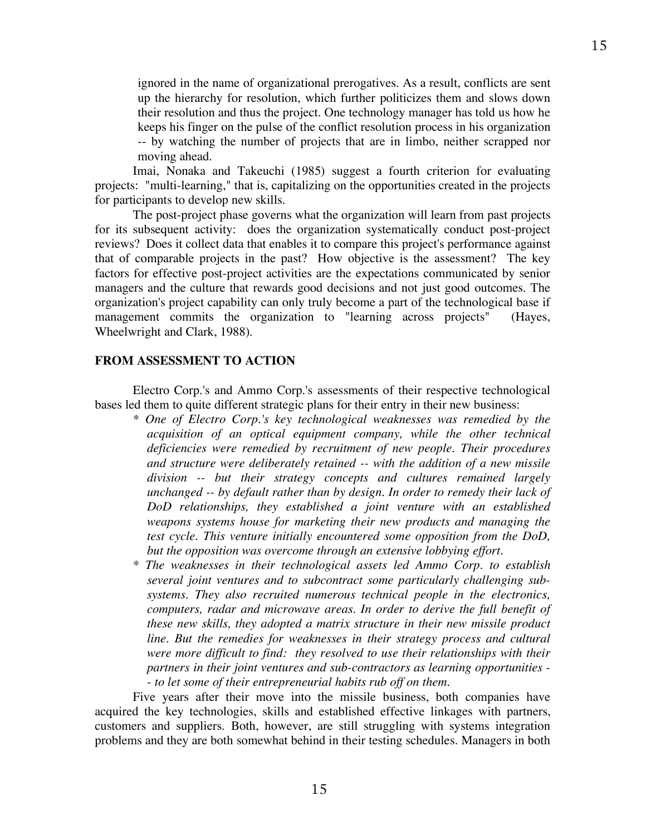ignored in the name of organizational prerogatives. As a result, conflicts are sent up the hierarchy for resolution, which further politicizes them and slows down their resolution and thus the project. One technology manager has told us how he keeps his finger on the pulse of the conflict resolution process in his organization -- by watching the number of projects that are in limbo, neither scrapped nor moving ahead.

Imai, Nonaka and Takeuchi (1985) suggest a fourth criterion for evaluating projects: "multi-learning," that is, capitalizing on the opportunities created in the projects for participants to develop new skills.

The post-project phase governs what the organization will learn from past projects for its subsequent activity: does the organization systematically conduct post-project reviews? Does it collect data that enables it to compare this project's performance against that of comparable projects in the past? How objective is the assessment? The key factors for effective post-project activities are the expectations communicated by senior managers and the culture that rewards good decisions and not just good outcomes. The organization's project capability can only truly become a part of the technological base if management commits the organization to "learning across projects" (Hayes, Wheelwright and Clark, 1988).

#### **FROM ASSESSMENT TO ACTION**

Electro Corp.'s and Ammo Corp.'s assessments of their respective technological bases led them to quite different strategic plans for their entry in their new business:

- *\* One of Electro Corp.'s key technological weaknesses was remedied by the acquisition of an optical equipment company, while the other technical deficiencies were remedied by recruitment of new people. Their procedures and structure were deliberately retained -- with the addition of a new missile division -- but their strategy concepts and cultures remained largely unchanged -- by default rather than by design. In order to remedy their lack of DoD relationships, they established a joint venture with an established weapons systems house for marketing their new products and managing the test cycle. This venture initially encountered some opposition from the DoD, but the opposition was overcome through an extensive lobbying effort.*
- *\* The weaknesses in their technological assets led Ammo Corp. to establish several joint ventures and to subcontract some particularly challenging subsystems. They also recruited numerous technical people in the electronics, computers, radar and microwave areas. In order to derive the full benefit of these new skills, they adopted a matrix structure in their new missile product line. But the remedies for weaknesses in their strategy process and cultural were more difficult to find: they resolved to use their relationships with their partners in their joint ventures and sub-contractors as learning opportunities - - to let some of their entrepreneurial habits rub off on them.*

Five years after their move into the missile business, both companies have acquired the key technologies, skills and established effective linkages with partners, customers and suppliers. Both, however, are still struggling with systems integration problems and they are both somewhat behind in their testing schedules. Managers in both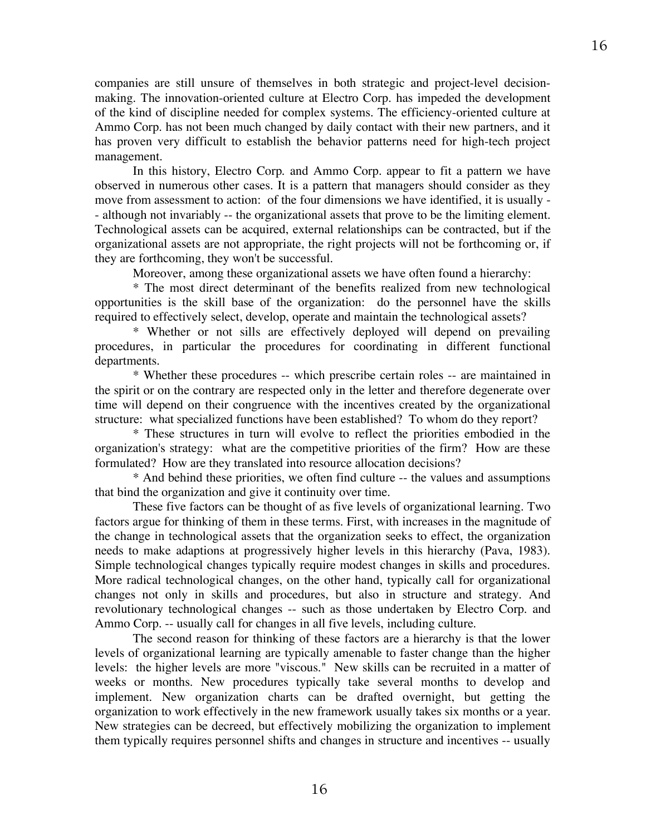companies are still unsure of themselves in both strategic and project-level decisionmaking. The innovation-oriented culture at Electro Corp. has impeded the development of the kind of discipline needed for complex systems. The efficiency-oriented culture at Ammo Corp. has not been much changed by daily contact with their new partners, and it has proven very difficult to establish the behavior patterns need for high-tech project management.

In this history, Electro Corp. and Ammo Corp. appear to fit a pattern we have observed in numerous other cases. It is a pattern that managers should consider as they move from assessment to action: of the four dimensions we have identified, it is usually - - although not invariably -- the organizational assets that prove to be the limiting element. Technological assets can be acquired, external relationships can be contracted, but if the organizational assets are not appropriate, the right projects will not be forthcoming or, if they are forthcoming, they won't be successful.

Moreover, among these organizational assets we have often found a hierarchy:

\* The most direct determinant of the benefits realized from new technological opportunities is the skill base of the organization: do the personnel have the skills required to effectively select, develop, operate and maintain the technological assets?

\* Whether or not sills are effectively deployed will depend on prevailing procedures, in particular the procedures for coordinating in different functional departments.

\* Whether these procedures -- which prescribe certain roles -- are maintained in the spirit or on the contrary are respected only in the letter and therefore degenerate over time will depend on their congruence with the incentives created by the organizational structure: what specialized functions have been established? To whom do they report?

\* These structures in turn will evolve to reflect the priorities embodied in the organization's strategy: what are the competitive priorities of the firm? How are these formulated? How are they translated into resource allocation decisions?

\* And behind these priorities, we often find culture -- the values and assumptions that bind the organization and give it continuity over time.

These five factors can be thought of as five levels of organizational learning. Two factors argue for thinking of them in these terms. First, with increases in the magnitude of the change in technological assets that the organization seeks to effect, the organization needs to make adaptions at progressively higher levels in this hierarchy (Pava, 1983). Simple technological changes typically require modest changes in skills and procedures. More radical technological changes, on the other hand, typically call for organizational changes not only in skills and procedures, but also in structure and strategy. And revolutionary technological changes -- such as those undertaken by Electro Corp. and Ammo Corp. -- usually call for changes in all five levels, including culture.

The second reason for thinking of these factors are a hierarchy is that the lower levels of organizational learning are typically amenable to faster change than the higher levels: the higher levels are more "viscous." New skills can be recruited in a matter of weeks or months. New procedures typically take several months to develop and implement. New organization charts can be drafted overnight, but getting the organization to work effectively in the new framework usually takes six months or a year. New strategies can be decreed, but effectively mobilizing the organization to implement them typically requires personnel shifts and changes in structure and incentives -- usually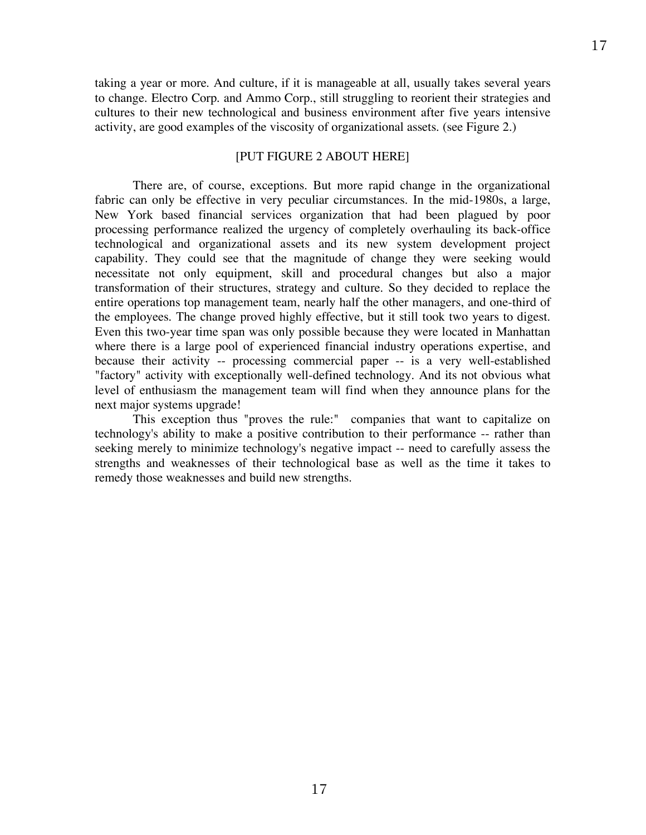taking a year or more. And culture, if it is manageable at all, usually takes several years to change. Electro Corp. and Ammo Corp., still struggling to reorient their strategies and cultures to their new technological and business environment after five years intensive activity, are good examples of the viscosity of organizational assets. (see Figure 2.)

## [PUT FIGURE 2 ABOUT HERE]

There are, of course, exceptions. But more rapid change in the organizational fabric can only be effective in very peculiar circumstances. In the mid-1980s, a large, New York based financial services organization that had been plagued by poor processing performance realized the urgency of completely overhauling its back-office technological and organizational assets and its new system development project capability. They could see that the magnitude of change they were seeking would necessitate not only equipment, skill and procedural changes but also a major transformation of their structures, strategy and culture. So they decided to replace the entire operations top management team, nearly half the other managers, and one-third of the employees. The change proved highly effective, but it still took two years to digest. Even this two-year time span was only possible because they were located in Manhattan where there is a large pool of experienced financial industry operations expertise, and because their activity -- processing commercial paper -- is a very well-established "factory" activity with exceptionally well-defined technology. And its not obvious what level of enthusiasm the management team will find when they announce plans for the next major systems upgrade!

This exception thus "proves the rule:" companies that want to capitalize on technology's ability to make a positive contribution to their performance -- rather than seeking merely to minimize technology's negative impact -- need to carefully assess the strengths and weaknesses of their technological base as well as the time it takes to remedy those weaknesses and build new strengths.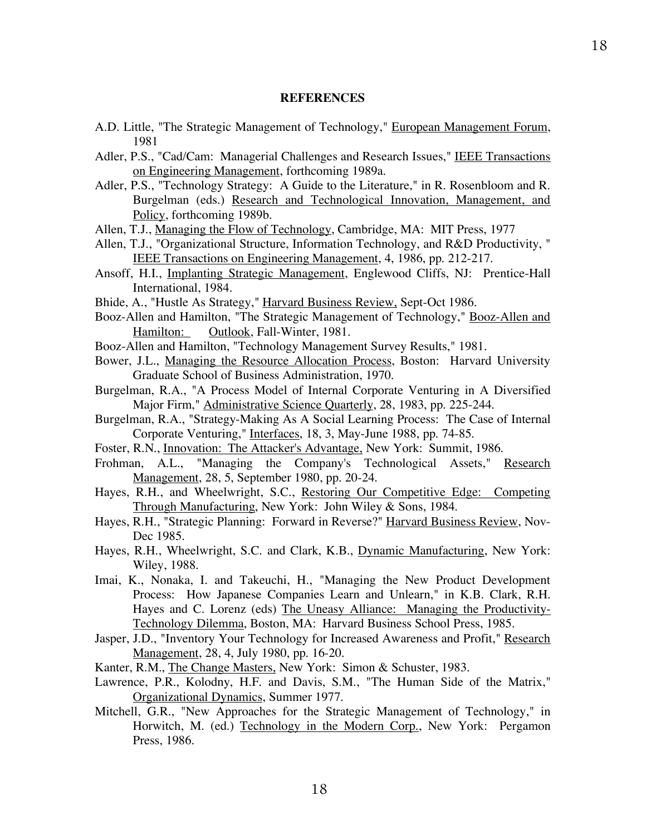#### **REFERENCES**

- A.D. Little, "The Strategic Management of Technology," European Management Forum, 1981
- Adler, P.S., "Cad/Cam: Managerial Challenges and Research Issues," IEEE Transactions on Engineering Management, forthcoming 1989a.
- Adler, P.S., "Technology Strategy: A Guide to the Literature," in R. Rosenbloom and R. Burgelman (eds.) Research and Technological Innovation, Management, and Policy, forthcoming 1989b.
- Allen, T.J., Managing the Flow of Technology, Cambridge, MA: MIT Press, 1977
- Allen, T.J., "Organizational Structure, Information Technology, and R&D Productivity, " IEEE Transactions on Engineering Management, 4, 1986, pp. 212-217.
- Ansoff, H.I., Implanting Strategic Management, Englewood Cliffs, NJ: Prentice-Hall International, 1984.
- Bhide, A., "Hustle As Strategy," Harvard Business Review, Sept-Oct 1986.
- Booz-Allen and Hamilton, "The Strategic Management of Technology," Booz-Allen and Hamilton: Outlook, Fall-Winter, 1981.
- Booz-Allen and Hamilton, "Technology Management Survey Results," 1981.
- Bower, J.L., Managing the Resource Allocation Process, Boston: Harvard University Graduate School of Business Administration, 1970.
- Burgelman, R.A., "A Process Model of Internal Corporate Venturing in A Diversified Major Firm," **Administrative Science Quarterly**, 28, 1983, pp. 225-244.
- Burgelman, R.A., "Strategy-Making As A Social Learning Process: The Case of Internal Corporate Venturing," Interfaces, 18, 3, May-June 1988, pp. 74-85.
- Foster, R.N., Innovation: The Attacker's Advantage, New York: Summit, 1986.
- Frohman, A.L., "Managing the Company's Technological Assets," Research Management, 28, 5, September 1980, pp. 20-24.
- Hayes, R.H., and Wheelwright, S.C., Restoring Our Competitive Edge: Competing Through Manufacturing, New York: John Wiley & Sons, 1984.
- Hayes, R.H., "Strategic Planning: Forward in Reverse?" Harvard Business Review, Nov-Dec 1985.
- Hayes, R.H., Wheelwright, S.C. and Clark, K.B., Dynamic Manufacturing, New York: Wiley, 1988.
- Imai, K., Nonaka, I. and Takeuchi, H., "Managing the New Product Development Process: How Japanese Companies Learn and Unlearn," in K.B. Clark, R.H. Hayes and C. Lorenz (eds) The Uneasy Alliance: Managing the Productivity-Technology Dilemma, Boston, MA: Harvard Business School Press, 1985.
- Jasper, J.D., "Inventory Your Technology for Increased Awareness and Profit," Research Management, 28, 4, July 1980, pp. 16-20.
- Kanter, R.M., The Change Masters, New York: Simon & Schuster, 1983.
- Lawrence, P.R., Kolodny, H.F. and Davis, S.M., "The Human Side of the Matrix," Organizational Dynamics, Summer 1977.
- Mitchell, G.R., "New Approaches for the Strategic Management of Technology," in Horwitch, M. (ed.) Technology in the Modern Corp., New York: Pergamon Press, 1986.